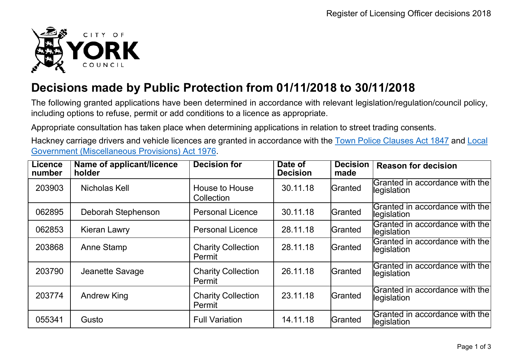

## **Decisions made by Public Protection from 01/11/2018 to 30/11/2018**

The following granted applications have been determined in accordance with relevant legislation/regulation/council policy, including options to refuse, permit or add conditions to a licence as appropriate.

Appropriate consultation has taken place when determining applications in relation to street trading consents.

Hackney carriage drivers and vehicle licences are granted in accordance with the Town Police [Clauses](http://www.legislation.gov.uk/ukpga/Vict/10-11/89) Act 1847 and [Local](http://www.legislation.gov.uk/ukpga/1976/57) [Government \(Miscellaneous Provisions\) Act 1976.](http://www.legislation.gov.uk/ukpga/1976/57)

| <b>Licence</b><br>number | <b>Name of applicant/licence</b><br>holder | <b>Decision for</b>                 | Date of<br><b>Decision</b> | <b>Decision</b><br>made | <b>Reason for decision</b>                       |
|--------------------------|--------------------------------------------|-------------------------------------|----------------------------|-------------------------|--------------------------------------------------|
| 203903                   | Nicholas Kell                              | House to House<br><b>Collection</b> | 30.11.18                   | Granted                 | lGranted in accordance with theI<br>legislation  |
| 062895                   | Deborah Stephenson                         | <b>Personal Licence</b>             | 30.11.18                   | Granted                 | lGranted in accordance with theI<br>llegislation |
| 062853                   | Kieran Lawry                               | <b>Personal Licence</b>             | 28.11.18                   | Granted                 | Granted in accordance with the<br>llegislation   |
| 203868                   | <b>Anne Stamp</b>                          | <b>Charity Collection</b><br>Permit | 28.11.18                   | Granted                 | Granted in accordance with the<br>llegislation   |
| 203790                   | Jeanette Savage                            | <b>Charity Collection</b><br>Permit | 26.11.18                   | Granted                 | Granted in accordance with the<br>llegislation   |
| 203774                   | <b>Andrew King</b>                         | <b>Charity Collection</b><br>Permit | 23.11.18                   | Granted                 | Granted in accordance with the<br>legislation    |
| 055341                   | Gusto                                      | <b>Full Variation</b>               | 14.11.18                   | Granted                 | Granted in accordance with the<br>llegislation   |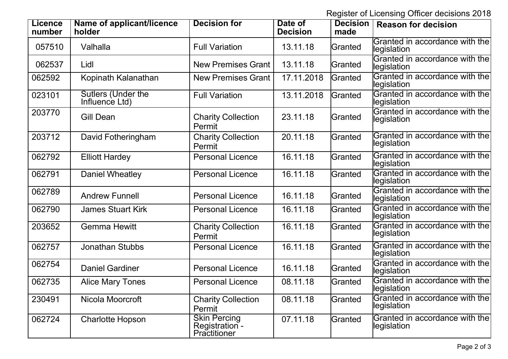Register of Licensing Officer decisions 2018

| <b>Licence</b><br>number | Name of applicant/licence<br>holder  | <b>Decision for</b>                                          | Date of<br><b>Decision</b> | <b>Decision</b><br>made | <b>Reason for decision</b>                     |
|--------------------------|--------------------------------------|--------------------------------------------------------------|----------------------------|-------------------------|------------------------------------------------|
| 057510                   | Valhalla                             | <b>Full Variation</b>                                        | 13.11.18                   | Granted                 | Granted in accordance with the<br>llegislation |
| 062537                   | Lidl                                 | <b>New Premises Grant</b>                                    | 13.11.18                   | Granted                 | Granted in accordance with the<br>legislation  |
| 062592                   | Kopinath Kalanathan                  | <b>New Premises Grant</b>                                    | 17.11.2018                 | Granted                 | Granted in accordance with the<br>legislation  |
| 023101                   | Sutlers (Under the<br>Influence Ltd) | <b>Full Variation</b>                                        | 13.11.2018                 | Granted                 | Granted in accordance with the<br>legislation  |
| 203770                   | Gill Dean                            | <b>Charity Collection</b><br>Permit                          | 23.11.18                   | Granted                 | Granted in accordance with the<br>legislation  |
| 203712                   | David Fotheringham                   | <b>Charity Collection</b><br>Permit                          | 20.11.18                   | Granted                 | Granted in accordance with the<br>legislation  |
| 062792                   | <b>Elliott Hardey</b>                | <b>Personal Licence</b>                                      | 16.11.18                   | Granted                 | Granted in accordance with the<br>llegislation |
| 062791                   | Daniel Wheatley                      | <b>Personal Licence</b>                                      | 16.11.18                   | Granted                 | Granted in accordance with the<br>llegislation |
| 062789                   | <b>Andrew Funnell</b>                | <b>Personal Licence</b>                                      | 16.11.18                   | Granted                 | Granted in accordance with the<br>llegislation |
| 062790                   | <b>James Stuart Kirk</b>             | <b>Personal Licence</b>                                      | 16.11.18                   | Granted                 | Granted in accordance with the<br>legislation  |
| 203652                   | <b>Gemma Hewitt</b>                  | <b>Charity Collection</b><br>Permit                          | 16.11.18                   | Granted                 | Granted in accordance with the<br>legislation  |
| 062757                   | <b>Jonathan Stubbs</b>               | <b>Personal Licence</b>                                      | 16.11.18                   | Granted                 | Granted in accordance with the<br>llegislation |
| 062754                   | <b>Daniel Gardiner</b>               | <b>Personal Licence</b>                                      | 16.11.18                   | Granted                 | Granted in accordance with the<br>llegislation |
| 062735                   | <b>Alice Mary Tones</b>              | <b>Personal Licence</b>                                      | 08.11.18                   | Granted                 | Granted in accordance with the<br>legislation  |
| 230491                   | Nicola Moorcroft                     | <b>Charity Collection</b><br>Permit                          | 08.11.18                   | Granted                 | Granted in accordance with the<br>legislation  |
| 062724                   | <b>Charlotte Hopson</b>              | <b>Skin Percing</b><br>Registration -<br><b>Practitioner</b> | 07.11.18                   | Granted                 | Granted in accordance with the<br>legislation  |